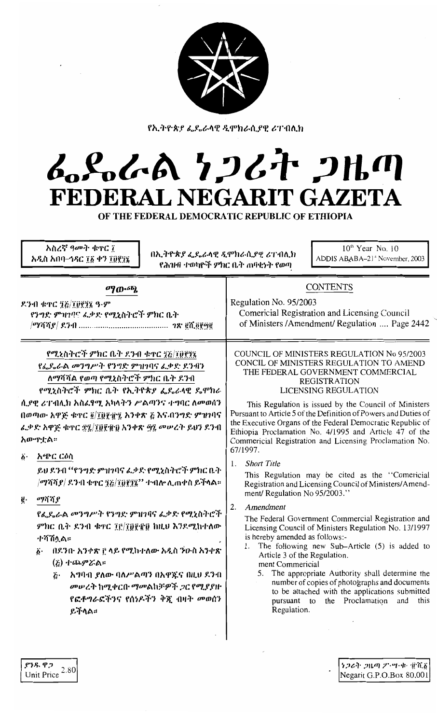

የኢትዮጵያ ፌዴራላዊ ዲሞክራሲያዊ ሪፐብሊክ

## んぺんへ クンムヤ フルの FEDERAL NEGARIT GAZETA

OF THE FEDERAL DEMOCRATIC REPUBLIC OF ETHIOPIA

| አስረኛ ዓመት ቁኖር ፲<br>በኢትዮጵያ ፌዴራላዊ ዲሞክራሲያዊ ሪፐብሊክ<br>አዲስ አበባ–ኅዳር ፲፩ ቀን ፲፬፻፺፮                                                                                                                                                                                                                                                                                                                                                               | $10th$ Year No. 10<br>ADDIS ABABA-21 <sup>st</sup> November, 2003<br>የሕዝብ ተወካዮች ምክር ቤት ሐባቂነት የወጣ                                                                                                                                                                                                                                                                                                                                                                                                                                                                                                                                                                                                                                                                                                                                                                                                                                                                                                                                                                                                                                                                                                                                                                                                                                       |  |
|---------------------------------------------------------------------------------------------------------------------------------------------------------------------------------------------------------------------------------------------------------------------------------------------------------------------------------------------------------------------------------------------------------------------------------------|----------------------------------------------------------------------------------------------------------------------------------------------------------------------------------------------------------------------------------------------------------------------------------------------------------------------------------------------------------------------------------------------------------------------------------------------------------------------------------------------------------------------------------------------------------------------------------------------------------------------------------------------------------------------------------------------------------------------------------------------------------------------------------------------------------------------------------------------------------------------------------------------------------------------------------------------------------------------------------------------------------------------------------------------------------------------------------------------------------------------------------------------------------------------------------------------------------------------------------------------------------------------------------------------------------------------------------------|--|
| ማውጫ<br>ዶንብ ቁጥር ፺፭/፲፱፻፺፯ ዓ·ም<br>የንግድ ምዝገባና ፌቃድ የሚኒስትሮች ምክር ቤት<br>የሚኒስትሮች ምክር ቤት ደንብ ቁዋር ፺፩/፲፱፻፺፩<br>የፌዴሬል መንግሥት የንግድ ምዝገባና ፌቃድ ደንብን<br>ለማሻሻል የወጣ የሚኒስትሮች ምክር ቤት ደንብ<br>የሚኒስትሮች ምክር ቤት የኢትዮጵያ ፌዴራላዊ ዴሞክራ<br>ሲያዊ ሪፐብሊክ አስፌፃሚ አካላትን ሥልጣንና ተግባር ለመወሰን<br>በወጣው አዋጅ ቁዋር ፬/፲፬፻፹፯ አንቀጽ ፩ እና በንግድ ምዝገባና<br>ፌቃድ አዋጅ ቁዋር ፳፯/፲፱፻፹፬ አንቀጽ ፵፯ መሥረት ይህን ደንብ                                                                                            | <b>CONTENTS</b><br>Regulation No. 95/2003<br>Comericial Registration and Licensing Council<br>of Ministers / Amendment/ Regulation  Page 2442<br>COUNCIL OF MINISTERS REGULATION No 95/2003<br>CONCIL OF MINISTERS REGULATION TO AMEND<br>THE FEDERAL GOVERNMENT COMMERCIAL<br><b>REGISTRATION</b><br>LICENSING REGULATION<br>This Regulation is issued by the Council of Ministers<br>Pursuant to Article 5 of the Definition of Powers and Duties of<br>the Executive Organs of the Federal Democratic Republic of<br>Ethiopia Proclamation No. 4/1995 and Article 47 of the<br>Commericial Registration and Licensing Proclamation No.<br>67/1997.<br><b>Short Title</b><br>1.<br>This Regulation may be cited as the "Comericial<br>Registration and Licensing Council of Ministers/Amend-<br>ment/ Regulation No 95/2003."<br>2.<br>Amendment<br>The Federal Government Commercial Registration and<br>Licensing Council of Ministers Regulation No. 13/1997<br>is hereby amended as follows:-<br>1. The following new Sub-Article (5) is added to<br>Article 3 of the Regulation.<br>ment Commericial<br>The appropriate Authority shall determine the<br>5.<br>number of copies of photographs and documents<br>to be attached with the applications submitted<br>the Proclamation<br>pursuant to<br>and<br>this<br>Regulation. |  |
| አውዋቷል።<br>አጭር ርዕስ<br>$\ddot{\delta}$ .<br>ይህ ደንብ ''የንግድ ምዝገባና ፌቃድ የሚኒስትሮች ምክር ቤት<br>/ማሻሻ <i>ያ  ደን</i> ብ ቁጥር ፺፭/፲፬፻፺፯'' ተብሎ ሊጠቀስ ይችላል።<br>ማሻሻያ<br>ğ.<br>የፌዴራል መንግሥት የንግድ ምዝገባና ፌቃድ የሚኒስትሮች<br>ምክር ቤት ደንብ ቁዋር ፲፫/፲፬፻፹፬ ከዚህ እንደሚከተለው<br><u>ተሻሽላል።</u><br>፩· በደንበ· አንቀጽ ፫ ላይ የሚከተለው አዲስ ንዑስ አንቀጽ<br>(を) 小いのアどめい<br>አማባብ ያለው ባለሥልጣን በአዋጁና በዚህ ደንብ<br>$\tilde{c}$ .<br>መሠረት ከሚቀርቡ ማመልከቻዎች ጋር የሚያያዙ<br>የፎቶግራፎችንና የሰነዶችን ቅጇ ብዛት መወሰን<br>ይችላል። |                                                                                                                                                                                                                                                                                                                                                                                                                                                                                                                                                                                                                                                                                                                                                                                                                                                                                                                                                                                                                                                                                                                                                                                                                                                                                                                                        |  |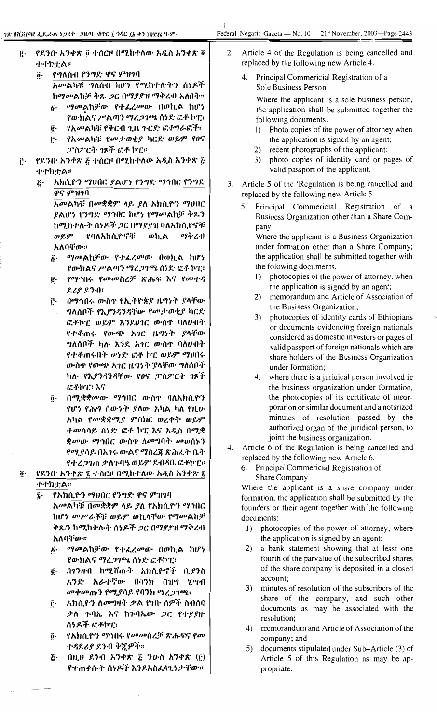- የደንበ· አንቀጽ ፬ ተሰርዞ በሚከተለው አዲስ አንቀጽ ፬  $\vec{e}$ . ナナカナム
	- የግለሰብ የንግድ ዋና ምዝገባ  $\ddot{\mathbf{0}}$ . አመልካቹ ግለሰብ ከሆነ የሚከተሉትን ሰነዶች ከማመልከቻ ቅጹ ጋር በማያያዝ ማቅረብ አለበት።
		- ማመልከቻው የተፈረመው በወኪል ከሆነ  $\boldsymbol{\delta}$ . የውክልና ሥልጣን ማረጋገጫ ሰነድ ፎቶ ኮፒ፣
		- የአመልካቹ የቅርብ ጊዜ ጉርድ ፎቶግራፎች፣  $\ddot{\textbf{e}}\cdot$ የአመልካቹ የመታወቂያ ካርድ ወይም የፀና ŕ٠
		- *ፓስፖርት ገ*ጾች ፎቶ ኮፒ።
- የደንበ· አንቀጽ ፩ ተሰርዞ በሚከተለው አዲስ አንቀጽ ፩ Ë٠ 小小カナムド
	- አክሲዮን ማህበር ያልሆነ የንግድ ማኅበር የንግድ ۴٠. ዋና ምዝገባ

አመልካቹ በመቋቋም ላይ ያለ አክሲዮን ማህበር ያልሆነ የንግድ ማኅበር ከሆነ የማመልከቻ ቅጹን ከሚከተሉት ሰነዶች ጋር በማያያዝ ባለአክሲዮኖቹ ወይም የባለአክሲዮኖቹ ወኪል ማቅረብ አለባቸው።

- ማመልከቻው የተፈረመው በወኪል ከሆነ  $\boldsymbol{\delta}$ . የውክልና ሥልጣን ማረጋገጫ ሰነድ ፎቶ ኮፒ፣
- የማኅበሩ የመመስረቻ ጽሑፍ እና የመተዳ  $\mathfrak{g}.$ ደሪያ ደንብ፥
- በማኅበሩ ውስጥ የኢትዮጵያ ዜግንት ያላቸው ŕ٠ *ግ*ለሰቦች የእ*ያንዳንዳ*ቸው የ*ሙታ* ወቂያ ካርድ ፎቶኮፒ ወይም እንደሀገር ውስዋ ባለሀብት የተቆጠሩ የውጭ አገር ዜግነት ያላቸው ግለሰቦች ካሉ እንደ አገር ውስዋ ባለሀብት የተቆጠሩበት ሥነድ ፎቶ ኮፒ ወይም ማህበሩ ውስዋ የውጭ አገር ዜግነት ያላቸው ግለሰቦች ካሉ የእያንዳንዳቸው የፀና ፓስፖርት ገጾች ፎቶኮፒ፣ እና
- በሚቋቋመው ማኅበር ውስዋ ባለአክሲዮን  $\ddot{\bm{\theta}}$  . የሆነ የሕግ ሰውነት ያለው አካል ካለ የዚሁ አካል የመቋቋሚያ ምስክር ወረቀት ወይም ተመሳሳይ ሰነድ ፎቶ ኮፒ እና አዲስ በሚቋ *ቋሙ*ው ማኅበር ውስጥ ለ*መግ*ባት መወሰኑን የሚያሳይ በአገሩ ውልና ማስረጀ ጽሕፈት ቤት የተረጋገጠ ቃለጉባዔ ወይም ደብዳቤ ፎቶኮፒ።
- $\ddot{\boldsymbol{o}}$ . የደንበ· አንቀጽ ፯ ተሰርዞ በሚከተለው አዲስ አንቀጽ ፯ ተተከቷል።

የአክሲዮን ማህበር የንግድ ዋና ምዝገባ  $\hat{\mathbf{z}}$  .

አመልካቹ በመቋቋም ላይ ያለ የአክሲዮን ማኅበር ከሆ*ነ መሥራች*ቹ ወይም ወኪላቸው የማመልከቻ ቅጹን ከሚከተሉት ሰነዶች ጋር በማያያዝ ማቅረብ አለባቸው።

- ማመልከቻው የተፈረመው በወኪል ከሆነ б٠ የውክልና ማረ*ጋገ*ጫ ሰነድ ፎቶኮፒ፣
- በ1ንዘብ ከሚሸጡት አክሲዮኖች ቢያንስ г. አንድ አራተኛው በባንክ በዝግ ሂሣብ መቀመጡን የሚያሳይ የባንክ ማረጋገጫ፣
- ፫· አክሲዮን ለመግዛት ቃል የገቡ ሰዎች ስብሰባ ቃለ ጉባኤ እና ከጉባኤው *ጋ*ር የተያያዙ ሰነዶች ፎቶኮፒ፣
- የአክሲዮን ማኅበሩ የመመስረቻ ጽሑፍና የመ  $\vec{0}$ . ተዳደሪያ ደንብ ቅጀዎች።
- በዚህ ደንብ አንቀጽ ፭ ንውስ አንቀጽ (፫)  $\tilde{c}$ . የተጠቀሱት ሰነዶች እንደአስፈላጊነታቸው።
- Article 4 of the Regulation is being cancelled and 2. replaced by the following new Article 4.
	- Principal Commericial Registration of a 4. Sole Business Person

Where the applicant is a sole business person, the application shall be submitted together the following documents.

- $\left| \cdot \right|$ Photo copies of the power of attorney when the application is signed by an agent;
- $(2)$ recent photographs of the applicant;
- $3)$ photo copies of identity card or pages of valid passport of the applicant.
- 3. Article 5 of the 'Regulation is being cancelled and replaced by the following new Article 5
	- Principal Commericial Registration of a  $5<sub>1</sub>$ Business Organization other than a Share Company

Where the applicant is a Business Organization under formation other than a Share Company; the application shall be submitted together with the folowing documents.

- photocopies of the power of attorney, when  $\left| \right|$ the application is signed by an agent;
- $(2)$ memorandum and Article of Association of the Business Organization;
- photocopies of identity cards of Ethiopians  $3)$ or documents evidencing foreign nationals considered as domestic investors or pages of valid passport of foreign nationals which are share holders of the Business Organization under formation;
- $4<sub>1</sub>$ where there is a juridical person involved in the business organization under formation, the photocopies of its certificate of incorporation or similar document and a notarized minutes of resolution passed by the authorized organ of the juridical person, to joint the business organization.
- 4. Article 6 of the Regulation is being cancelled and replaced by the following new Article 6.
	- 6. Principal Commericial Registration of Share Company

Where the applicant is a share company under formation, the application shall be submitted by the founders or their agent together with the following documents:

- 1) photocopies of the power of attorney, where the application is signed by an agent;
- a bank statement showing that at least one  $(2)$ fourth of the parvalue of the subscribed shares of the share company is deposited in a closed account:
- minutes of resolution of the subscribers of the  $3)$ share of the company, and such other documents as may be associated with the resolution;
- 4) memorandum and Article of Association of the company; and
- $5)$ documents stipulated under Sub-Article (3) of Article 5 of this Regulation as may be appropriate.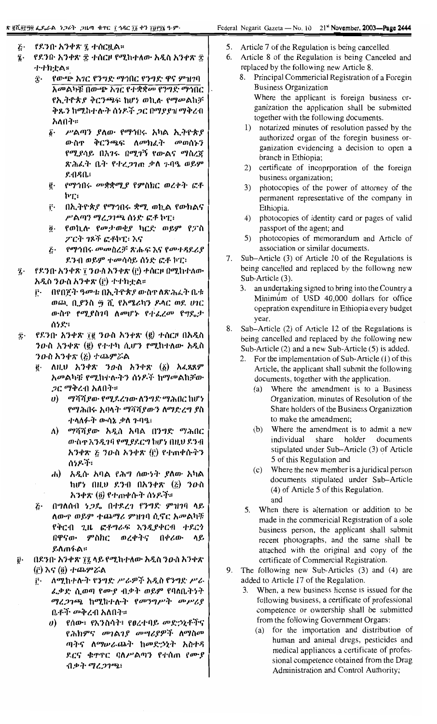- $\tilde{c}$ . የደንበ አንቀጽ ፯ ተሰርዟል።
- z. የደንበ· አንቀጽ ፰ ተሰርዞ የሚከተለው አዲስ አንቀጽ ፰ 小小カナム:
	- $\hat{\mathbf{r}}$ . የውጭ አገር የንግድ ማኅበር የንግድ ዋና ምዝገባ አመልካቹ በውጭ አገር የተቋቋመ የንግድ ማኅበር የኢትዮጵያ ቅርንጫፍ ከሆነ ወኪሉ የማመልከቻ ቅጹን ከሚከተሉት ሰነዶች ጋር በማያያዝ ማቅረብ አለበት።
		- ሥልጣን ያለው የማኅበሩ አካል ኢትዮጵያ δ. ውስዋ ቅርንጫፍ ለመክፈት መወሰኑን የሚያሳይ በአንሩ በሚንኝ የውልና ማስረጀ ጽሕፈት ቤት የተረጋገጠ ቃለ ጉባዔ ወይም  $8 - 0.80$ .
		- የማኅበሩ መቋቋሚያ የምስክር ወረቀት ፎቶ ĝ. hT:
		- <u>ቮ · በኢትዮጵያ የማኅበሩ ቋሚ ወኪል የውክልና</u> ሥልጣን ማረጋገጫ ሰነድ ፎቶ ኮፒ፥
		- <u>ö</u>· የወኪሉ የመታወቂያ ካርድ ወይም የፓስ ፖርት ገጾች ፎቶኮፒ፣ እና
		- ጅ· የማኅበሩ መመስረቻ ጽሑፍ እና የመተዳደሪያ ደንብ ወይም ተመሳሳይ ሰነድ ፎቶ ኮፒ፣
- $\ddot{\mathbf{z}}$ . የደንበ· አንቀጽ ፣ ንውስ አንቀጽ (ቮ) ተሰርዞ በሚከተለው አዲስ ንውስ አንቀጽ (፫) ተተክቷል።
	- በየበጀት ዓመቱ በኢትዮጵያ ውስዋ ለጽ*ሕ*ፈት ቤቱ Ë۰ ወጪ, ቢያንስ ፵ ሺ የአሜሪካን ዶላር ወደ ሀገር ውስዋ የሚያስገባ ለመሆኑ የተፈረመ የግዴታ ሰነደ።
- $\dot{T}$ የደንበ· አንቀጽ ፲፪ ንውስ አንቀጽ (፪) ተሰርዞ በአዲስ ንውስ አንቀጽ (ё) የተተካ ሲሆን የሚከተለው አዲስ ንውስ አንቀጽ  $(\xi)$  ተጨምሯል
	- ለዚህ አንቀጽ ንዑስ አንቀጽ (፩) አፈጻጸም ĝ. *አመ*ልካቹ የሚከተሉትን ሰነዶች ከማመልከቻው *ጋር ማቅረ*ብ አለበት።
		- *ማሻሻያው የሚደረገው ለንግድ ማሕ*በር ከሆነ  $\boldsymbol{\theta}$ የማሕበሩ አባላት ማሻሻያውን ለማድረግ ያስ ተላለፉት ውሳኔ ቃለ ጉባዔ፡
		- ለ) ማሻሻያው አዲስ አባል በንግድ ማሕበር ውስጥ እንዲገባ የሚያደርግ ከሆነ በዚህ ደንብ አንቀጽ ፩ ንዑስ አንቀጽ (፫) የተጠቀሱትን ሰነዶች፣
		- አዲሱ አባል የሕግ ሰውነት ያለው አካል  $\mathbf{d}$ ከሆነ በዚህ ደንብ በአንቀጽ (፩) ንውስ አንቀጽ (፬) የተጠቀሱት ሰነዶች።
	- E. በግለሰብ *ነጋ*ይ በተደረገ የንግድ ምዝገባ ላይ ለውጥ ወይም ተጨማሪ ምዝገባ ሲኖር አመልካቹ የቅርብ ጊዜ ፎቶግራፍ እንዲያቀርብ ተደርጎ በዋናው ምስክር ወረቀትና በቀሪው ላይ ይለጠፋል።
- በደንበ· አንቀጽ ፲፯ ላይ የሚከተለው አዲስ ንውስ አንቀጽ Ũ٠ (i) እና (<u>ö)</u> ተጨምሯል
	- $\mathbf{r}$ . ለሚከተሉት የንግድ ሥራዎች አዲስ የንግድ ሥራ ፈቃድ ሲወጣ የሙያ ብቃት ወይም የባለቤትነት ማረጋገጫ ከሚከተሉት የመንግሥት መሥሪያ ቤቶች መቅረብ አለበት።
		- υ) የሰው፣ የእንስሳት፣ የፀረተባይ መድኃኒቶችና የሕክምና መገልገያ መሣሪያዎች ለማስመ ጣትና ለማሠራጨት ከመድኃኒት አስተዳ ደርና ቁጥኖር ባለሥልጣን የተሰጠ የሙያ ብቃት ማረጋገጫ፣
- Article 7 of the Regulation is being cancelled.  $5<sub>1</sub>$
- 6. Article 8 of the Regulation is being Canceled and replaced by the following new Article 8.
	- 8. Principal Commericial Registration of a Foregin **Business Organization** Where the applicant is foreign business organization the application shall be submitted together with the following documents.
	- 1) notarized minutes of resolution passed by the authorized organ of the foregin business organization evidencing a decision to open a branch in Ethiopia;
	- 2) certificate of incoprporation of the foreign business organization;
	- 3) photocopies of the power of attorney of the permanent representative of the company in Ethiopia.
	- 4) photocopies of identity card or pages of valid passport of the agent; and
	- 5) photocopies of memorandum and Article of association or similar documents.
- Sub-Article (3) of Article 10 of the Regulations is 7. being cancelled and replaced by the followng new Sub-Article (3).
	- 3. an undertaking signed to bring into the Country a Minimum of USD 40,000 dollars for office opepration expenditure in Ethiopia every budget year.
- Sub-Article (2) of Article 12 of the Regulations is 8. being cancelled and replaced by the following new Sub-Article (2) and a new Sub-Article (5) is added.
	- 2. For the implementation of Sub-Article (1) of this Article, the applicant shall submit the following documents, together with the application.
		- Where the amendment is to a Business  $(a)$ Organization, minutes of Resolution of the Share holders of the Business Organization to make the amendment:
		- (b) Where the amendment is to admit a new individual share holder documents stipulated under Sub-Article (3) of Article 5 of this Regulation and
		- (c) Where the new member is a juridical person documents stipulated under Sub-Article (4) of Article 5 of this Regulation. and
	- 5. When there is alternation or addition to be made in the commericial Registration of a sole business person, the applicant shall submit recent photographs, and the same shall be attached with the original and copy of the certificate of Commercial Registration.
- 9. The following new Sub-Articles (3) and (4) are added to Article 17 of the Regulation.
	- 3. When, a new business license is issued for the following business, a certificate of professional competence or ownership shall be submitted from the following Government Organs:
		- (a) for the importation and distribution of human and animal drugs, pesticides and medical appliances a certificate of professional competence obtained from the Drug Administration and Control Authority;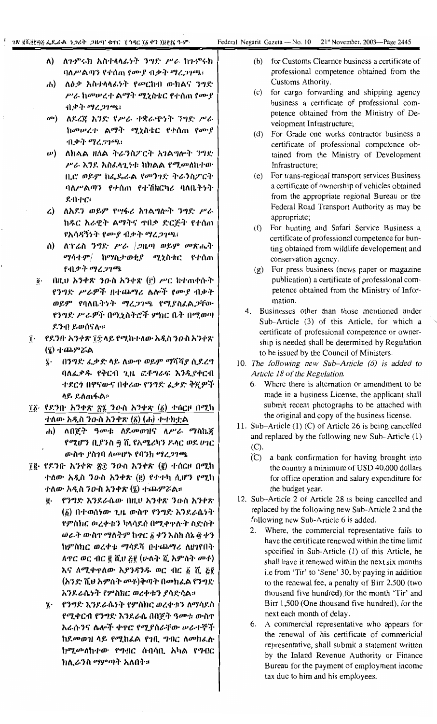- ለ) ለንምሩክ አስተላላፊነት ንግድ ሥራ ከንምሩክ ባለሥልጣን የተሰጠ የሙያ ብቃት ማረጋንጫ፡
- ሐ) ለዕቃ አስተላላፊነት የመርከብ ውክልና ንግድ ሥራ ከመሠረተ ልማት ሚኒስቴር የተሰጠ የሙያ ብቃት ማረጋንጫ፡
- መ) ለደረጀ አንድ የሥራ ተቋራጭነት ንግድ ሥራ ከመሠረተ ልማት ሚኒስቴር የተሰጠ የሙያ ብቃት ማረጋንጫ፥
- **ω)** ለክልል ዘለል ትራንስፖርት አገልግሎት ንግድ ሥራ እንደ አስፈላጊነቱ ከክልል የሚመለከተው ቢሮ ወይም ከፌዴራል የመንገድ ትራንስፖርት ባለሥልጣን የተሰጠ የተሽከርካሪ ባለቤትነት ደብተር፣
- ረ) ለአደን ወይም የሣፋሪ አገልግሎት ንግድ ሥራ ከዱር አራዊት ልማትና ተበቃ ድርጅት የተሰጠ የአሳዳኝነት የሙያ ብቃት ማረ*ጋገጫ*፡
- ሰ) ለፕሬስ ንግድ ሥራ /ጋዜጣ ወይም መጽሔት *ሚሳተም| ከሚስታወቂያ ሚኒ*ስቴር የተሰጠ የብቃት ማረጋገጫ
- በዚሀ አንቀጽ ንዑስ አንቀጽ (፫) ሥር ከተጠቀሱት  $\ddot{\boldsymbol{\theta}}$ . የንግድ ሥራዎች በተጨማሪ ሴሎች የሙያ ብቃት ወይም የባለቤትነት ማረጋገጫ የሚያስፌልጋቸው የንግድ ሥራዎች በሚኒስትሮች ምክር ቤት በሚወጣ ደንብ ይወሰናሉ።
- ፲ \_ የደንበ አንቀጽ ፲፰ ላይ የሚከተለው አዲስ ንውስ አንቀጽ (ひ) 小ののどめ
	- በንግድ ፌቃድ ላይ ለውጥ ወይም ማሻሻያ ሲደረግ  $\ddot{\imath}$ . ባለፌቃዱ የቅርብ ጊዜ ፎቶግራፍ እንዲያቀርብ ተደርጎ በዋናውና በቀሪው የንግድ ፌቃድ ቅጇዎች ላይ ይለጠፋል።
- ፲፩· የደንበ· አንቀጽ ፳፯ ንውስ አንቀጽ (፩) ተሰርዞ በሚከ  $\pm$ ለው አዲስ ን $\bm{o}$  ስ አንቀጽ  $(\vec{a})$   $(\bm{d})$   $\pm$  ተክቷል
	- ሐ) ለበጀት ዓመቱ ለደመወዝና ለሥራ ማስኬኛ የሚሆን ቢያንስ ፵ ሺ የአሜሪካን ዶላር ወደ ሀገር ውስዋ ያስገባ ለመሆኑ የባንክ ማረ*ጋገ*ጫ
- 70 የደንቡ አንቀጽ ጽ፰ ንውስ አንቀጽ (ё) ተሰርዞ በሚከ ተለው አዲስ ንውስ አንቀጽ (፪) የተተካ ሲሆን የሚከ ተለው አዲስ ንውስ አንቀጽ (፯) ተጨምሯል፡፡
	- ĝ. የንግድ እንደራሴው በዚሀ አንቀጽ ንዑስ አንቀጽ (δ) በተወሰነው ጊዜ ውስዋ የንግድ እንደራሴነት የምስክር ወረቀቱን ካላሳደሰ በሚቀጥሉት ስድስት ወራት ውስኖ ማለትም ከኖር ፩ ቀን እስከ ሰኔ ፴ ቀን ከምስክር ወረቀቱ ማሳደሻ በተጨማሪ ለዘገየበት ለዋር ወር ብር ፪ ሺሀ ፩፻ (ሁለት ሺ አምስት ሙቶ) እና ለሚቀጥለው እ*ያንዳንዱ ወ*ር ብር ፩ ሺ ፭፻ (አንድ ሺህ አምስት መቶ)ቅጣት በመክፈል የንግድ እንደራሴነት የምስክር ወረቀቱን ያሳድሳል።
	- ፤ የንግድ እንደራሴነት የምስክር ወረቀቱን ለማሳደስ የሚቀርብ የንግድ እንደራሴ በበጀት ዓመቱ ውስጥ እራሱንና ሌሎች ቀኖሮ የሚያሰራቸው ሥራተኞች ከደመወዝ ላይ የሚከፌል የገቢ ግብር ለመክፌሉ ከሚመለከተው የግብር ሰብሳቢ አካል የግብር ክሊራንስ ማምጣት አለበት።
- (b) for Customs Clearnce business a certificate of professional competence obtained from the Customs Athority.
- (c) for cargo forwarding and shipping agency business a certificate of professional competence obtained from the Ministry of Development Infrastructure;
- (d) For Grade one works contractor business a certificate of professional competence obtained from the Ministry of Development Infrastructure;
- (e) For trans-regional transport services Business a certificate of ownership of vehicles obtained from the appropriate regional Bureau or the Federal Road Transport Authority as may be appropriate;
- (f) For hunting and Safari Service Business a certificate of professional competence for hunting obtained from wildlife developement and conservation agency.
- (g) For press business (news paper or magazine publication) a certificate of professional competence obtained from the Ministry of Information.
- 4. Businesses other than those mentioned under Sub-Article (3) of this Article, for which a certificate of professional competence or ownership is needed shall be determined by Regulation to be issued by the Council of Ministers.
- 10. The following new Sub-Article (6) is added to Article 18 of the Regulation.
	- 6. Where there is alternation or amendment to be made in a business License, the applicant shall submit recent photographs to be attached with the original and copy of the business license.
- 11. Sub-Article (1) (C) of Article 26 is being cancelled and replaced by the following new Sub-Article (1)  $(C).$ 
	- (C) a bank confirmation for having brought into the country a minimum of USD 40,000 dollars for office operation and salary expenditure for the budget year.
- 12. Sub-Article 2 of Article 28 is being cancelled and replaced by the following new Sub-Article 2 and the following new Sub-Article 6 is added.
	- 2. Where, the commercial representative fails to have the certificate renewed within the time limit specified in Sub-Article (1) of this Article, he shall have it renewed within the next six months i.e from 'Tir' to 'Sene' 30, by paying in addition to the renewal fee, a penalty of Birr 2,500 (two thousand five hundred) for the month 'Tir' and Birr 1,500 (One thousand five hundred), for the next each month of delay.
	- 6. A commercial representative who appears for the renewal of his certificate of commericial representative, shall submit a statement written by the Inland Revenue Authority or Finance Bureau for the payment of employment income tax due to him and his employees.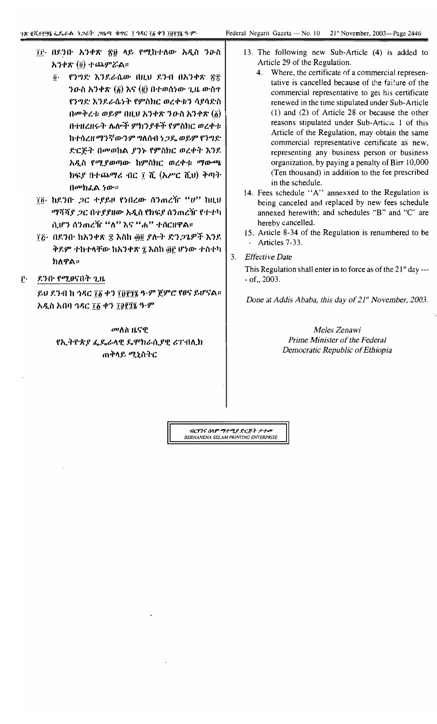- ፲፫ በደንበ አንቀጽ ፳፬ ላይ የሚከተለው አዲስ ንውስ አንቀጽ (፬) ተጨምሯል።
	- @· የንግድ እንደራሴው በዚህ ደንብ በአንቀጽ ፳፰  $70 - h$  አንቀጽ ( $\delta$ ) እና ( $\ddot{\epsilon}$ ) በተወሰነው ጊዜ ውስዋ የንግድ እንደራሴነት የምስክር ወረቀቱን ሳያሳድስ  $\theta$ መቅረቱ ወይም በዚህ አንቀጽ ንውስ አንቀጽ  $(\delta)$ በተዘረዘሩት ሌሎች ምክንያቶች የምስክር ወረቀቱ ከተሰረዘ ማንኛውንም ግለሰብ ነጋዴ ወይም የንግድ ድርጅት በመወከል ያንኑ የምስክር ወረቀት እንደ አዲስ የሚያወጣው ከምስክር ወረቀቱ ማውጫ ክፍያ በተጨማሪ ብር ፲ ሺ (አሥር ሺህ) ቅጣት በመክፌል ነው።
- ፲፬· ከደንቡ *ጋ*ር ተያይዞ የነበረው ሰንጠረዥ "ሀ" ከዚህ *ማሻሻያ ጋር በተያያዘው አዲስ* የክፍያ ሰንጠረዥ የተተካ ሲሆን ሰንጠረዥ "ለ" እና "ሐ" ተሰርዘዋል።
- ፲፩• በደንቡ ከአንቀጽ ፰ እስከ ፴፬ ደሉት ድንጋጌዎች እንደ ቅደም ተከተላቸው ከአንቀጽ ፯ እስከ ፴፫ ሆነው ተስተካ ክለዋል።
- ደንቡ የሚፀናበት ጊዜ ŕ٠

ይህ ደንብ ከ ኅዳር ፲፩ ቀን ፲፬፻፺፮ ዓ·ም ጀምሮ የፀና ይሆናል። አዲስ አበባ ኅዳር ፲፩ ቀን ፲፱፻፺፮ ዓ·ም

> መለስ ዜናዊ የኢትዮጵያ ፌዴራላዊ ዴሞክራሲያዊ ሪፐብሊክ ጠቅላይ ሚኒስትር

- 13. The following new Sub-Article (4) is added to Article 29 of the Regulation.
	- 4. Where, the certificate of a commercial representative is cancelled because of the failure of the commercial representative to get his certificate renewed in the time stipulated under Sub-Article  $(1)$  and  $(2)$  of Article 28 or because the other reasons stipulated under Sub-Articie 1 of this Article of the Regulation, may obtain the same commercial representative certificate as new, representing any business person or business organization, by paying a penalty of Birr 10,000 (Ten thousand) in addition to the fee prescribed in the schedule.
	- 14. Fees schedule "A" annexxed to the Regulation is being canceled and replaced by new fees schedule annexed herewith; and schedules "B" and "C' are hereby cancelled.
- 15. Article 8-34 of the Regulation is renumbered to be - Articles 7-33.
- $3.$ **Effective Date**

This Regulation shall enter in to force as of the 21<sup>st</sup> day --- $-$  of  $\ldots$  2003.

Done at Addis Ababa, this day of 21<sup>st</sup> November, 2003.

Meles Zenawi Prime Minister of the Federal Democratic Republic of Ethiopia

ብ<mark>ርሃንና ሰላም ማተሚያ ድርጅት ታተመ</mark><br>BERHANENA SELAM PRINTING ENTERPRISE